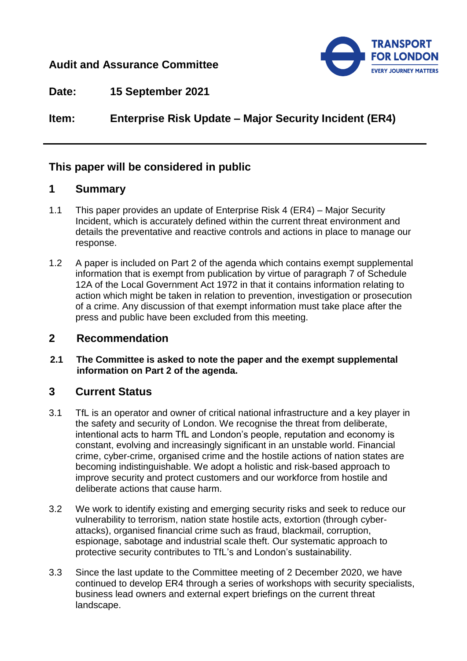## **Audit and Assurance Committee**



**Date: 15 September 2021**

**Item: Enterprise Risk Update – Major Security Incident (ER4)**

# **This paper will be considered in public**

## **1 Summary**

- 1.1 This paper provides an update of Enterprise Risk 4 (ER4) Major Security Incident, which is accurately defined within the current threat environment and details the preventative and reactive controls and actions in place to manage our response.
- 1.2 A paper is included on Part 2 of the agenda which contains exempt supplemental information that is exempt from publication by virtue of paragraph 7 of Schedule 12A of the Local Government Act 1972 in that it contains information relating to action which might be taken in relation to prevention, investigation or prosecution of a crime. Any discussion of that exempt information must take place after the press and public have been excluded from this meeting.

#### **2 Recommendation**

**2.1 The Committee is asked to note the paper and the exempt supplemental information on Part 2 of the agenda.** 

# **3 Current Status**

- 3.1 TfL is an operator and owner of critical national infrastructure and a key player in the safety and security of London. We recognise the threat from deliberate, intentional acts to harm TfL and London's people, reputation and economy is constant, evolving and increasingly significant in an unstable world. Financial crime, cyber-crime, organised crime and the hostile actions of nation states are becoming indistinguishable. We adopt a holistic and risk-based approach to improve security and protect customers and our workforce from hostile and deliberate actions that cause harm.
- 3.2 We work to identify existing and emerging security risks and seek to reduce our vulnerability to terrorism, nation state hostile acts, extortion (through cyberattacks), organised financial crime such as fraud, blackmail, corruption, espionage, sabotage and industrial scale theft. Our systematic approach to protective security contributes to TfL's and London's sustainability.
- 3.3 Since the last update to the Committee meeting of 2 December 2020, we have continued to develop ER4 through a series of workshops with security specialists, business lead owners and external expert briefings on the current threat landscape.